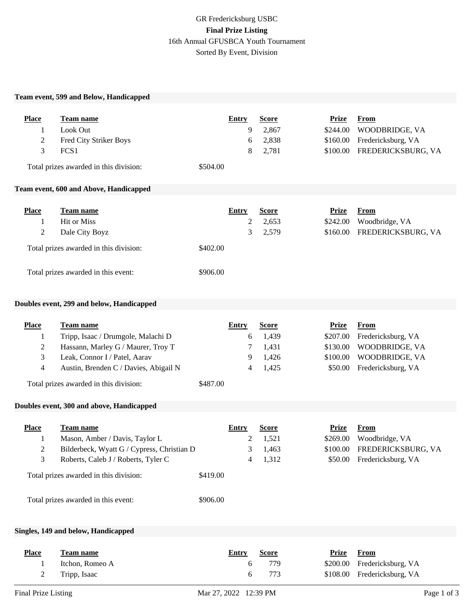# GR Fredericksburg USBC **Final Prize Listing** 16th Annual GFUSBCA Youth Tournament Sorted By Event, Division

### **Team event, 599 and Below, Handicapped**

| <b>Place</b><br>1<br>$\overline{c}$<br>3      | <b>Team name</b><br>Look Out<br>Fred City Striker Boys<br>FCS1<br>Total prizes awarded in this division:<br>Team event, 600 and Above, Handicapped                                                                | \$504.00             | <b>Entry</b><br>9<br>6<br>8         | <b>Score</b><br>2,867<br>2,838<br>2,781          | <b>Prize</b><br>\$244.00<br>\$160.00<br>\$100.00            | <b>From</b><br>WOODBRIDGE, VA<br>Fredericksburg, VA<br>FREDERICKSBURG, VA                   |
|-----------------------------------------------|-------------------------------------------------------------------------------------------------------------------------------------------------------------------------------------------------------------------|----------------------|-------------------------------------|--------------------------------------------------|-------------------------------------------------------------|---------------------------------------------------------------------------------------------|
| <b>Place</b><br>1<br>2                        | Team name<br><b>Hit or Miss</b><br>Dale City Boyz<br>Total prizes awarded in this division:<br>Total prizes awarded in this event:                                                                                | \$402.00<br>\$906.00 | <b>Entry</b><br>$\overline{c}$<br>3 | <b>Score</b><br>2,653<br>2,579                   | <b>Prize</b><br>\$242.00<br>\$160.00                        | <b>From</b><br>Woodbridge, VA<br>FREDERICKSBURG, VA                                         |
|                                               | Doubles event, 299 and below, Handicapped                                                                                                                                                                         |                      |                                     |                                                  |                                                             |                                                                                             |
| <b>Place</b><br>1<br>$\overline{2}$<br>3<br>4 | Team name<br>Tripp, Isaac / Drumgole, Malachi D<br>Hassann, Marley G / Maurer, Troy T<br>Leak, Connor I / Patel, Aarav<br>Austin, Brenden C / Davies, Abigail N<br>Total prizes awarded in this division:         | \$487.00             | <b>Entry</b><br>6<br>7<br>9<br>4    | <b>Score</b><br>1,439<br>1,431<br>1,426<br>1,425 | <b>Prize</b><br>\$207.00<br>\$130.00<br>\$100.00<br>\$50.00 | <b>From</b><br>Fredericksburg, VA<br>WOODBRIDGE, VA<br>WOODBRIDGE, VA<br>Fredericksburg, VA |
|                                               | Doubles event, 300 and above, Handicapped                                                                                                                                                                         |                      |                                     |                                                  |                                                             |                                                                                             |
| <b>Place</b><br>1<br>$\overline{c}$<br>3      | Team name<br>Mason, Amber / Davis, Taylor L<br>Bilderbeck, Wyatt G / Cypress, Christian D<br>Roberts, Caleb J / Roberts, Tyler C<br>Total prizes awarded in this division:<br>Total prizes awarded in this event: | \$419.00<br>\$906.00 | <b>Entry</b><br>2<br>3<br>4         | <b>Score</b><br>1,521<br>1,463<br>1,312          | <b>Prize</b><br>\$269.00<br>\$100.00                        | <b>From</b><br>Woodbridge, VA<br>FREDERICKSBURG, VA<br>\$50.00 Fredericksburg, VA           |

## **Singles, 149 and below, Handicapped**

| <b>Place</b> | Team name       | <b>Entry</b> | <b>Score</b> | <b>Prize</b> From |                             |
|--------------|-----------------|--------------|--------------|-------------------|-----------------------------|
|              | Itchon, Romeo A |              | 779          |                   | \$200.00 Fredericksburg, VA |
|              | Tripp, Isaac    |              | 773          |                   | \$108.00 Fredericksburg, VA |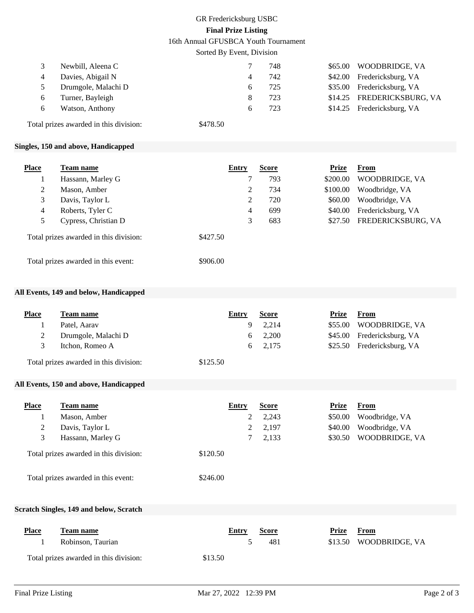# GR Fredericksburg USBC **Final Prize Listing**

16th Annual GFUSBCA Youth Tournament

Sorted By Event, Division

| Newbill, Aleena C   | 748 | \$65.00 WOODBRIDGE, VA     |
|---------------------|-----|----------------------------|
| Davies, Abigail N   | 742 | \$42.00 Fredericksburg, VA |
| Drumgole, Malachi D | 725 | \$35.00 Fredericksburg, VA |
| Turner, Bayleigh    | 723 | \$14.25 FREDERICKSBURG, VA |
| Watson, Anthony     | 723 | \$14.25 Fredericksburg, VA |
|                     |     |                            |

Total prizes awarded in this division: \$478.50

### **Singles, 150 and above, Handicapped**

| <b>Place</b> | Team name                              | Entry    | <b>Score</b> | Prize    | From               |
|--------------|----------------------------------------|----------|--------------|----------|--------------------|
|              | Hassann, Marley G                      |          | 793          | \$200.00 | WOODBRIDGE, VA     |
| 2            | Mason, Amber                           | 2        | 734          | \$100.00 | Woodbridge, VA     |
| 3            | Davis, Taylor L                        | 2        | 720          | \$60.00  | Woodbridge, VA     |
| 4            | Roberts, Tyler C                       | 4        | 699          | \$40.00  | Fredericksburg, VA |
| 5            | Cypress, Christian D                   | 3        | 683          | \$27.50  | FREDERICKSBURG, VA |
|              | Total prizes awarded in this division: | \$427.50 |              |          |                    |
|              | Total prizes awarded in this event:    | \$906.00 |              |          |                    |

#### **All Events, 149 and below, Handicapped**

| <b>Place</b> | Team name                              | Entry    | <b>Score</b>   | Prize | <b>From</b>                |
|--------------|----------------------------------------|----------|----------------|-------|----------------------------|
|              | Patel, Aarav                           |          | 9 2.214        |       | \$55.00 WOODBRIDGE, VA     |
|              | Drumgole, Malachi D                    |          | $6\quad 2,200$ |       | \$45.00 Fredericksburg, VA |
|              | Itchon, Romeo A                        |          | 6 2,175        |       | \$25.50 Fredericksburg, VA |
|              | Total prizes awarded in this division: | \$125.50 |                |       |                            |

### **All Events, 150 and above, Handicapped**

| <b>Place</b>                           | Team name                           | Entry    | <b>Score</b> | Prize   | From           |
|----------------------------------------|-------------------------------------|----------|--------------|---------|----------------|
|                                        | Mason, Amber                        | 2        | 2,243        | \$50.00 | Woodbridge, VA |
| 2                                      | Davis, Taylor L                     | 2        | 2,197        | \$40.00 | Woodbridge, VA |
| 3                                      | Hassann, Marley G                   |          | 2,133        | \$30.50 | WOODBRIDGE, VA |
| Total prizes awarded in this division: |                                     | \$120.50 |              |         |                |
|                                        | Total prizes awarded in this event: | \$246.00 |              |         |                |

#### **Scratch Singles, 149 and below, Scratch**

| <b>Place</b> | Team name                              | Entry   | <b>Score</b> | Prize | From                   |
|--------------|----------------------------------------|---------|--------------|-------|------------------------|
|              | Robinson, Taurian                      |         | 481          |       | \$13.50 WOODBRIDGE, VA |
|              | Total prizes awarded in this division: | \$13.50 |              |       |                        |